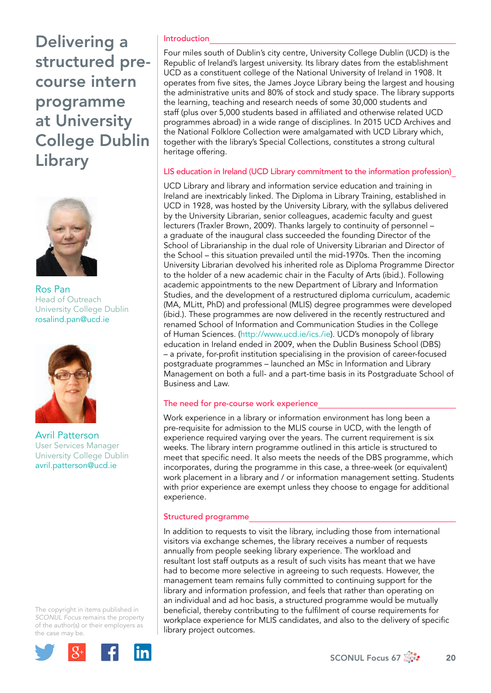

Ros Pan Head of Outreach University College Dublin rosalind.pan@ucd.ie



Avril Patterson User Services Manager University College Dublin avril.patterson@ucd.ie

The copyright in items published in *SCONUL Focus* remains the property of the author(s) or their employers as the case may be.



# Introduction

Four miles south of Dublin's city centre, University College Dublin (UCD) is the Republic of Ireland's largest university. Its library dates from the establishment UCD as a constituent college of the National University of Ireland in 1908. It operates from five sites, the James Joyce Library being the largest and housing the administrative units and 80% of stock and study space. The library supports the learning, teaching and research needs of some 30,000 students and staff (plus over 5,000 students based in affiliated and otherwise related UCD programmes abroad) in a wide range of disciplines. In 2015 UCD Archives and the National Folklore Collection were amalgamated with UCD Library which, together with the library's Special Collections, constitutes a strong cultural heritage offering.

# LIS education in Ireland (UCD Library commitment to the information profession)

UCD Library and library and information service education and training in Ireland are inextricably linked. The Diploma in Library Training, established in UCD in 1928, was hosted by the University Library, with the syllabus delivered by the University Librarian, senior colleagues, academic faculty and guest lecturers (Traxler Brown, 2009). Thanks largely to continuity of personnel – a graduate of the inaugural class succeeded the founding Director of the School of Librarianship in the dual role of University Librarian and Director of the School – this situation prevailed until the mid-1970s. Then the incoming University Librarian devolved his inherited role as Diploma Programme Director to the holder of a new academic chair in the Faculty of Arts (ibid.). Following academic appointments to the new Department of Library and Information Studies, and the development of a restructured diploma curriculum, academic (MA, MLitt, PhD) and professional (MLIS) degree programmes were developed (ibid.). These programmes are now delivered in the recently restructured and renamed School of Information and Communication Studies in the College of Human Sciences. (http://www.ucd.ie/ics./ie). UCD's monopoly of library education in Ireland ended in 2009, when the Dublin Business School (DBS) – a private, for-profit institution specialising in the provision of career-focused postgraduate programmes – launched an MSc in Information and Library Management on both a full- and a part-time basis in its Postgraduate School of Business and Law.

# The need for pre-course work experience

Work experience in a library or information environment has long been a pre-requisite for admission to the MLIS course in UCD, with the length of experience required varying over the years. The current requirement is six weeks. The library intern programme outlined in this article is structured to meet that specific need. It also meets the needs of the DBS programme, which incorporates, during the programme in this case, a three-week (or equivalent) work placement in a library and / or information management setting. Students with prior experience are exempt unless they choose to engage for additional experience.

### Structured programme

In addition to requests to visit the library, including those from international visitors via exchange schemes, the library receives a number of requests annually from people seeking library experience. The workload and resultant lost staff outputs as a result of such visits has meant that we have had to become more selective in agreeing to such requests. However, the management team remains fully committed to continuing support for the library and information profession, and feels that rather than operating on an individual and ad hoc basis, a structured programme would be mutually beneficial, thereby contributing to the fulfilment of course requirements for workplace experience for MLIS candidates, and also to the delivery of specific library project outcomes.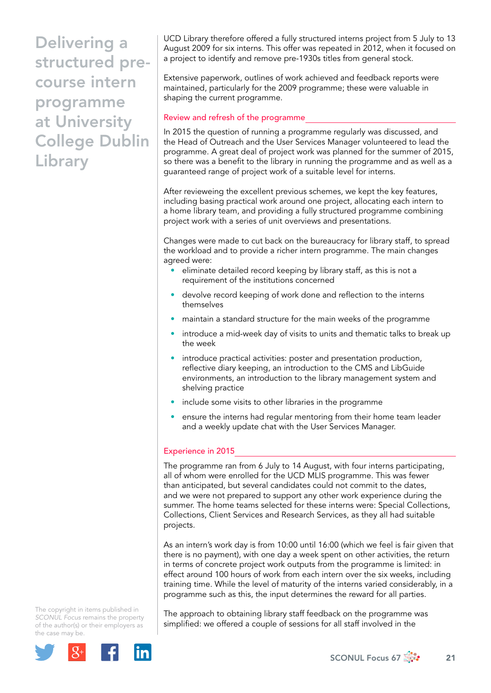UCD Library therefore offered a fully structured interns project from 5 July to 13 August 2009 for six interns. This offer was repeated in 2012, when it focused on a project to identify and remove pre-1930s titles from general stock.

Extensive paperwork, outlines of work achieved and feedback reports were maintained, particularly for the 2009 programme; these were valuable in shaping the current programme.

### Review and refresh of the programme

In 2015 the question of running a programme regularly was discussed, and the Head of Outreach and the User Services Manager volunteered to lead the programme. A great deal of project work was planned for the summer of 2015, so there was a benefit to the library in running the programme and as well as a guaranteed range of project work of a suitable level for interns.

After revieweing the excellent previous schemes, we kept the key features, including basing practical work around one project, allocating each intern to a home library team, and providing a fully structured programme combining project work with a series of unit overviews and presentations.

Changes were made to cut back on the bureaucracy for library staff, to spread the workload and to provide a richer intern programme. The main changes agreed were:

- eliminate detailed record keeping by library staff, as this is not a requirement of the institutions concerned
- devolve record keeping of work done and reflection to the interns themselves
- maintain a standard structure for the main weeks of the programme
- introduce a mid-week day of visits to units and thematic talks to break up the week
- introduce practical activities: poster and presentation production, reflective diary keeping, an introduction to the CMS and LibGuide environments, an introduction to the library management system and shelving practice
- include some visits to other libraries in the programme
- ensure the interns had regular mentoring from their home team leader and a weekly update chat with the User Services Manager.

# Experience in 2015

The programme ran from 6 July to 14 August, with four interns participating, all of whom were enrolled for the UCD MLIS programme. This was fewer than anticipated, but several candidates could not commit to the dates, and we were not prepared to support any other work experience during the summer. The home teams selected for these interns were: Special Collections, Collections, Client Services and Research Services, as they all had suitable projects.

As an intern's work day is from 10:00 until 16:00 (which we feel is fair given that there is no payment), with one day a week spent on other activities, the return in terms of concrete project work outputs from the programme is limited: in effect around 100 hours of work from each intern over the six weeks, including training time. While the level of maturity of the interns varied considerably, in a programme such as this, the input determines the reward for all parties.

The copyright in items published in *SCONUL Focus* remains the property of the author(s) or their employers as the case may be.



The approach to obtaining library staff feedback on the programme was simplified: we offered a couple of sessions for all staff involved in the

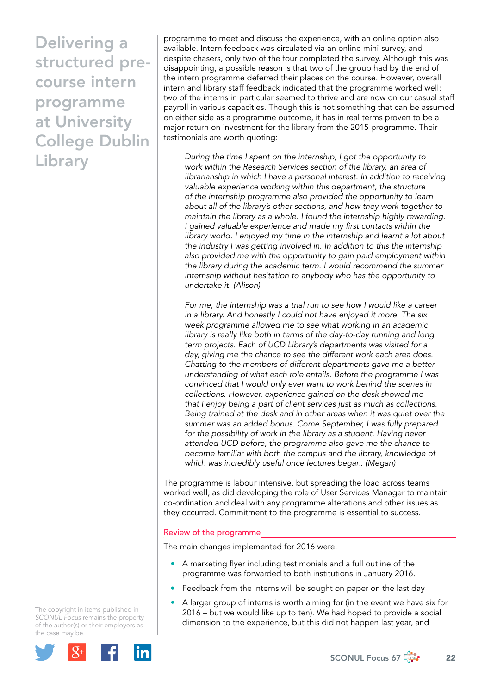programme to meet and discuss the experience, with an online option also available. Intern feedback was circulated via an online mini-survey, and despite chasers, only two of the four completed the survey. Although this was disappointing, a possible reason is that two of the group had by the end of the intern programme deferred their places on the course. However, overall intern and library staff feedback indicated that the programme worked well: two of the interns in particular seemed to thrive and are now on our casual staff payroll in various capacities. Though this is not something that can be assumed on either side as a programme outcome, it has in real terms proven to be a major return on investment for the library from the 2015 programme. Their testimonials are worth quoting:

*During the time I spent on the internship, I got the opportunity to work within the Research Services section of the library, an area of librarianship in which I have a personal interest. In addition to receiving valuable experience working within this department, the structure of the internship programme also provided the opportunity to learn about all of the library's other sections, and how they work together to maintain the library as a whole. I found the internship highly rewarding. I gained valuable experience and made my first contacts within the library world. I enjoyed my time in the internship and learnt a lot about the industry I was getting involved in. In addition to this the internship also provided me with the opportunity to gain paid employment within the library during the academic term. I would recommend the summer internship without hesitation to anybody who has the opportunity to undertake it. (Alison)*

*For me, the internship was a trial run to see how I would like a career in a library. And honestly I could not have enjoyed it more. The six week programme allowed me to see what working in an academic*  library is really like both in terms of the day-to-day running and long *term projects. Each of UCD Library's departments was visited for a day, giving me the chance to see the different work each area does. Chatting to the members of different departments gave me a better understanding of what each role entails. Before the programme I was convinced that I would only ever want to work behind the scenes in collections. However, experience gained on the desk showed me that I enjoy being a part of client services just as much as collections. Being trained at the desk and in other areas when it was quiet over the summer was an added bonus. Come September, I was fully prepared*  for the possibility of work in the library as a student. Having never *attended UCD before, the programme also gave me the chance to become familiar with both the campus and the library, knowledge of which was incredibly useful once lectures began. (Megan)*

The programme is labour intensive, but spreading the load across teams worked well, as did developing the role of User Services Manager to maintain co-ordination and deal with any programme alterations and other issues as they occurred. Commitment to the programme is essential to success.

### Review of the programme

The main changes implemented for 2016 were:

- A marketing flyer including testimonials and a full outline of the programme was forwarded to both institutions in January 2016.
- Feedback from the interns will be sought on paper on the last day
- A larger group of interns is worth aiming for (in the event we have six for 2016 – but we would like up to ten). We had hoped to provide a social dimension to the experience, but this did not happen last year, and

The copyright in items published in *SCONUL Focus* remains the property of the author(s) or their employers as the case may be.

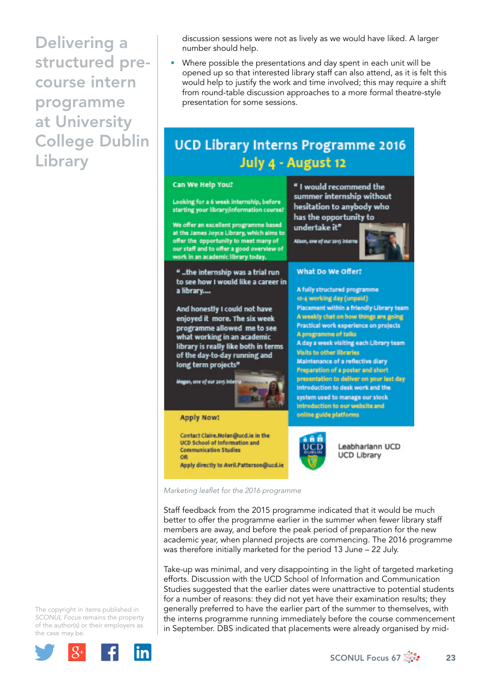discussion sessions were not as lively as we would have liked. A larger number should help.

Where possible the presentations and day spent in each unit will be opened up so that interested library staff can also attend, as it is felt this would help to justify the work and time involved; this may require a shift from round-table discussion approaches to a more formal theatre-style presentation for some sessions.

# **UCD Library Interns Programme 2016** July 4 - August 12



*Marketing leaflet for the 2016 programme* 

Staff feedback from the 2015 programme indicated that it would be much better to offer the programme earlier in the summer when fewer library staff members are away, and before the peak period of preparation for the new academic year, when planned projects are commencing. The 2016 programme was therefore initially marketed for the period 13 June – 22 July.

Take-up was minimal, and very disappointing in the light of targeted marketing efforts. Discussion with the UCD School of Information and Communication Studies suggested that the earlier dates were unattractive to potential students for a number of reasons: they did not yet have their examination results; they generally preferred to have the earlier part of the summer to themselves, with the interns programme running immediately before the course commencement in September. DBS indicated that placements were already organised by mid-

The copyright in items published in *SCONUL Focus* remains the property of the author(s) or their employers as the case may be.



SCONUL Focus 67  $\frac{1}{200}$  23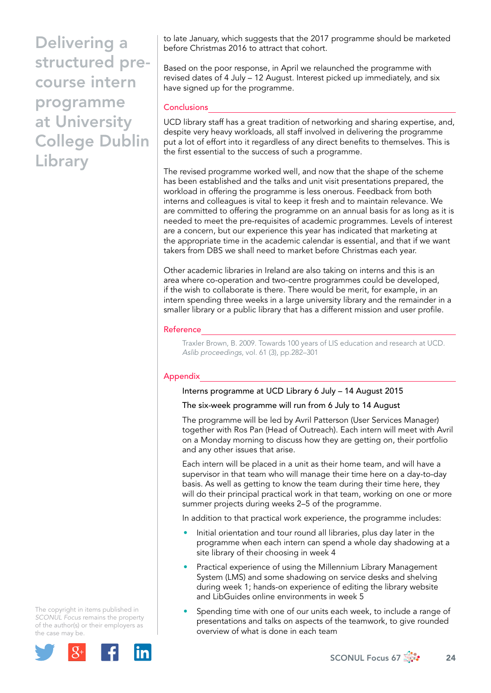to late January, which suggests that the 2017 programme should be marketed before Christmas 2016 to attract that cohort.

Based on the poor response, in April we relaunched the programme with revised dates of 4 July – 12 August. Interest picked up immediately, and six have signed up for the programme.

# **Conclusions**

UCD library staff has a great tradition of networking and sharing expertise, and, despite very heavy workloads, all staff involved in delivering the programme put a lot of effort into it regardless of any direct benefits to themselves. This is the first essential to the success of such a programme.

The revised programme worked well, and now that the shape of the scheme has been established and the talks and unit visit presentations prepared, the workload in offering the programme is less onerous. Feedback from both interns and colleagues is vital to keep it fresh and to maintain relevance. We are committed to offering the programme on an annual basis for as long as it is needed to meet the pre-requisites of academic programmes. Levels of interest are a concern, but our experience this year has indicated that marketing at the appropriate time in the academic calendar is essential, and that if we want takers from DBS we shall need to market before Christmas each year.

Other academic libraries in Ireland are also taking on interns and this is an area where co-operation and two-centre programmes could be developed, if the wish to collaborate is there. There would be merit, for example, in an intern spending three weeks in a large university library and the remainder in a smaller library or a public library that has a different mission and user profile.

### Reference

Traxler Brown, B. 2009. Towards 100 years of LIS education and research at UCD. *Aslib proceedings*, vol. 61 (3), pp.282–301

# Appendix

# Interns programme at UCD Library 6 July – 14 August 2015

### The six-week programme will run from 6 July to 14 August

The programme will be led by Avril Patterson (User Services Manager) together with Ros Pan (Head of Outreach). Each intern will meet with Avril on a Monday morning to discuss how they are getting on, their portfolio and any other issues that arise.

Each intern will be placed in a unit as their home team, and will have a supervisor in that team who will manage their time here on a day-to-day basis. As well as getting to know the team during their time here, they will do their principal practical work in that team, working on one or more summer projects during weeks 2–5 of the programme.

In addition to that practical work experience, the programme includes:

- Initial orientation and tour round all libraries, plus day later in the programme when each intern can spend a whole day shadowing at a site library of their choosing in week 4
- Practical experience of using the Millennium Library Management System (LMS) and some shadowing on service desks and shelving during week 1; hands-on experience of editing the library website and LibGuides online environments in week 5
- Spending time with one of our units each week, to include a range of presentations and talks on aspects of the teamwork, to give rounded overview of what is done in each team

The copyright in items published in *SCONUL Focus* remains the property of the author(s) or their employers as the case may be.